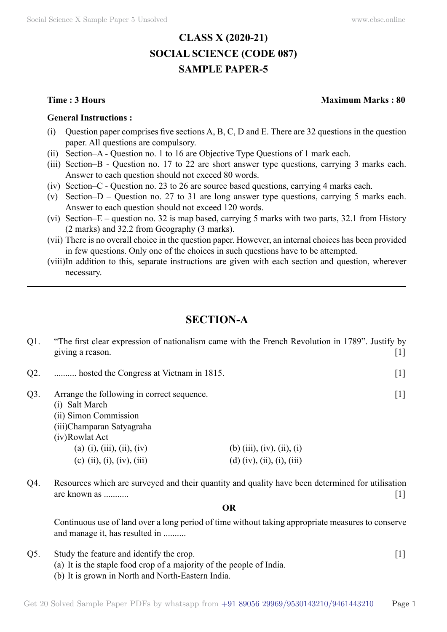# **CLASS X (2020-21) SOCIAL SCIENCE (CODE 087) SAMPLE PAPER-5**

#### **General Instructions :**

- (i) Question paper comprises five sections  $A, B, C, D$  and E. There are 32 questions in the question paper. All questions are compulsory.
- (ii) Section–A Question no. 1 to 16 are Objective Type Questions of 1 mark each.
- (iii) Section–B Question no. 17 to 22 are short answer type questions, carrying 3 marks each. Answer to each question should not exceed 80 words.
- (iv) Section–C Question no. 23 to 26 are source based questions, carrying 4 marks each.
- (v) Section–D Question no. 27 to 31 are long answer type questions, carrying 5 marks each. Answer to each question should not exceed 120 words.
- (vi) Section–E question no. 32 is map based, carrying 5 marks with two parts, 32.1 from History (2 marks) and 32.2 from Geography (3 marks).
- (vii) There is no overall choice in the question paper. However, an internal choices has been provided in few questions. Only one of the choices in such questions have to be attempted.
- (viii)In addition to this, separate instructions are given with each section and question, wherever necessary.

# **Section-A**

| $Q1$ . | giving a reason.                                                                                                                                                                                 | "The first clear expression of nationalism came with the French Revolution in 1789". Justify by<br>111 |
|--------|--------------------------------------------------------------------------------------------------------------------------------------------------------------------------------------------------|--------------------------------------------------------------------------------------------------------|
| Q2.    | hosted the Congress at Vietnam in 1815.                                                                                                                                                          | $\lceil 1 \rceil$                                                                                      |
| $Q3$ . | Arrange the following in correct sequence.<br>(i) Salt March<br>(ii) Simon Commission<br>(iii)Champaran Satyagraha<br>(iv)Rowlat Act<br>(a) (i), (iii), (ii), (iv)<br>(c) (ii), (i), (iv), (iii) | $\lceil 1 \rceil$<br>(b) (iii), (iv), (ii), (i)<br>(d) (iv), (ii), (i), (iii)                          |

Q4. Resources which are surveyed and their quantity and quality have been determined for utilisation are known as ........... [1]

#### **O**

Continuous use of land over a long period of time without taking appropriate measures to conserve and manage it, has resulted in ..........

- Q5. Study the feature and identify the crop. [1]
	- (a) It is the staple food crop of a majority of the people of India.
	- (b) It is grown in North and North-Eastern India.

#### **Time : 3 Hours Maximum Marks : 80**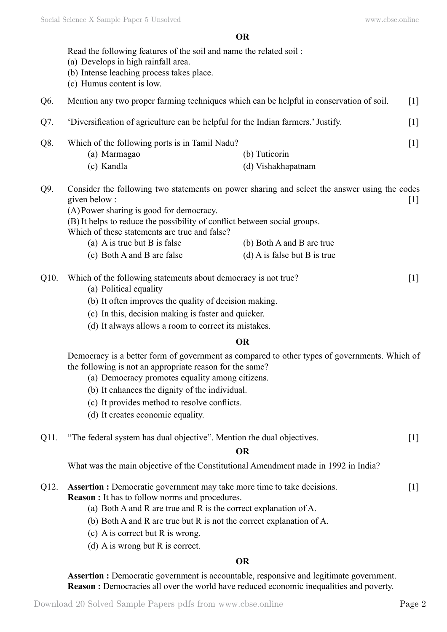## **O**

|                                                                               | Read the following features of the soil and name the related soil:<br>(a) Develops in high rainfall area.<br>(b) Intense leaching process takes place.<br>(c) Humus content is low.                                                                                                                                                                                                  |                                                           |       |
|-------------------------------------------------------------------------------|--------------------------------------------------------------------------------------------------------------------------------------------------------------------------------------------------------------------------------------------------------------------------------------------------------------------------------------------------------------------------------------|-----------------------------------------------------------|-------|
| Q6.                                                                           | Mention any two proper farming techniques which can be helpful in conservation of soil.<br>$[1]$                                                                                                                                                                                                                                                                                     |                                                           |       |
| Q7.                                                                           | 'Diversification of agriculture can be helpful for the Indian farmers.' Justify.<br>$[1]$                                                                                                                                                                                                                                                                                            |                                                           |       |
| Q8.                                                                           | Which of the following ports is in Tamil Nadu?<br>(a) Marmagao<br>(c) Kandla                                                                                                                                                                                                                                                                                                         | (b) Tuticorin<br>(d) Vishakhapatnam                       | $[1]$ |
| Q9.                                                                           | Consider the following two statements on power sharing and select the answer using the codes<br>given below:<br>(A) Power sharing is good for democracy.<br>(B) It helps to reduce the possibility of conflict between social groups.<br>Which of these statements are true and false?<br>(a) A is true but B is false<br>(c) Both A and B are false                                 | (b) Both A and B are true<br>(d) A is false but B is true | $[1]$ |
| Q10.                                                                          | Which of the following statements about democracy is not true?<br>$[1]$<br>(a) Political equality<br>(b) It often improves the quality of decision making.<br>(c) In this, decision making is faster and quicker.<br>(d) It always allows a room to correct its mistakes.                                                                                                            |                                                           |       |
|                                                                               |                                                                                                                                                                                                                                                                                                                                                                                      | <b>OR</b>                                                 |       |
|                                                                               | Democracy is a better form of government as compared to other types of governments. Which of<br>the following is not an appropriate reason for the same?<br>(a) Democracy promotes equality among citizens.<br>(b) It enhances the dignity of the individual.<br>(c) It provides method to resolve conflicts.<br>(d) It creates economic equality.                                   |                                                           |       |
| "The federal system has dual objective". Mention the dual objectives.<br>Q11. |                                                                                                                                                                                                                                                                                                                                                                                      |                                                           | $[1]$ |
|                                                                               | <b>OR</b>                                                                                                                                                                                                                                                                                                                                                                            |                                                           |       |
|                                                                               | What was the main objective of the Constitutional Amendment made in 1992 in India?                                                                                                                                                                                                                                                                                                   |                                                           |       |
| Q12.                                                                          | <b>Assertion :</b> Democratic government may take more time to take decisions.<br>$[1]$<br><b>Reason</b> : It has to follow norms and procedures.<br>(a) Both A and R are true and R is the correct explanation of A.<br>(b) Both A and R are true but R is not the correct explanation of A.<br>(c) A is correct but R is wrong.<br>(d) A is wrong but $R$ is correct.<br><b>OR</b> |                                                           |       |
|                                                                               |                                                                                                                                                                                                                                                                                                                                                                                      |                                                           |       |

**Assertion :** Democratic government is accountable, responsive and legitimate government. **Reason :** Democracies all over the world have reduced economic inequalities and poverty.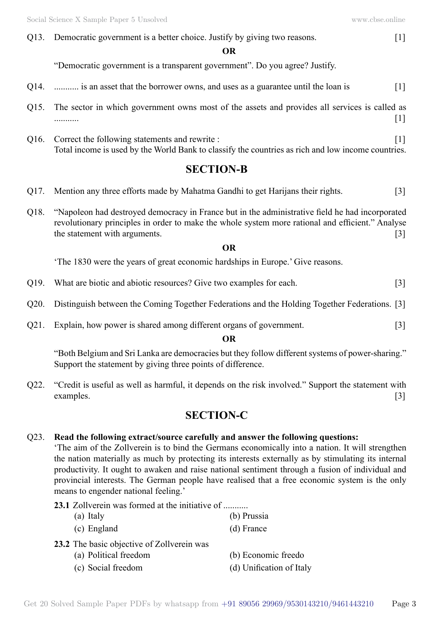Q13. Democratic government is a better choice. Justify by giving two reasons. [1]

 **O**

"Democratic government is a transparent government". Do you agree? Justify.

- $Q14.$  ........... is an asset that the borrower owns, and uses as a guarantee until the loan is  $[1]$
- Q15. The sector in which government owns most of the assets and provides all services is called as ........... [1]
- Q16. Correct the following statements and rewrite : [1] Total income is used by the World Bank to classify the countries as rich and low income countries.

# **Section-B**

- Q17. Mention any three efforts made by Mahatma Gandhi to get Harijans their rights. [3]
- Q18. "Napoleon had destroyed democracy in France but in the administrative field he had incorporated revolutionary principles in order to make the whole system more rational and efficient." Analyse the statement with arguments.  $[3]$

## **O**

'The 1830 were the years of great economic hardships in Europe.' Give reasons.

- Q19. What are biotic and abiotic resources? Give two examples for each. [3]
- Q20. Distinguish between the Coming Together Federations and the Holding Together Federations. [3]
- Q21. Explain, how power is shared among different organs of government. [3]

## **O**

"Both Belgium and Sri Lanka are democracies but they follow different systems of power-sharing." Support the statement by giving three points of difference.

Q22. "Credit is useful as well as harmful, it depends on the risk involved." Support the statement with examples. [3]

# **Section-C**

# Q23. **Read the following extract/source carefully and answer the following questions:**

'The aim of the Zollverein is to bind the Germans economically into a nation. It will strengthen the nation materially as much by protecting its interests externally as by stimulating its internal productivity. It ought to awaken and raise national sentiment through a fusion of individual and provincial interests. The German people have realised that a free economic system is the only means to engender national feeling.'

# **23.1** Zollverein was formed at the initiative of ...........

- (a) Italy (b) Prussia
- (c) England (d) France
- **23.2** The basic objective of Zollverein was
	- (a) Political freedom (b) Economic freedom
	- (c) Social freedom (d) Unification of Italy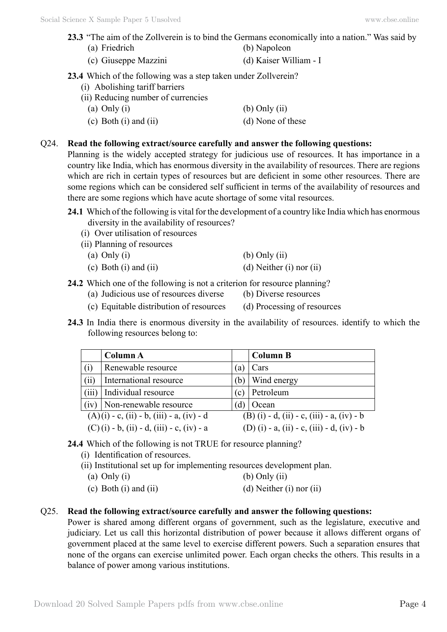- **23.3** "The aim of the Zollverein is to bind the Germans economically into a nation." Was said by (a) Friedrich (b) Napoleon
	- (c) Giuseppe Mazzini (d) Kaiser William I
- **23.4** Which of the following was a step taken under Zollverein?
	- (i) Abolishing tariff barriers
	- (ii) Reducing number of currencies
		- (a) Only (i)  $\qquad \qquad$  (b) Only (ii)
		- (c) Both (i) and (ii)  $(d)$  None of these

## Q24. **Read the following extract/source carefully and answer the following questions:**

Planning is the widely accepted strategy for judicious use of resources. It has importance in a country like India, which has enormous diversity in the availability of resources. There are regions which are rich in certain types of resources but are deficient in some other resources. There are some regions which can be considered self sufficient in terms of the availability of resources and there are some regions which have acute shortage of some vital resources.

- **24.1** Which of the following is vital for the development of a country like India which has enormous diversity in the availability of resources?
	- (i) Over utilisation of resources
	- (ii) Planning of resources

(a) Only (i)  $\qquad \qquad$  (b) Only (ii)

- (c) Both (i) and (ii)  $(d)$  Neither (i) nor (ii)
- **24.2** Which one of the following is not a criterion for resource planning?
	- (a) Judicious use of resources diverse (b) Diverse resources
	- (c) Equitable distribution of resources (d) Processing of resources
- **24.3** In India there is enormous diversity in the availability of resources. identify to which the following resources belong to:

|                                                      | <b>Column A</b>        |     | <b>Column B</b>                            |  |  |
|------------------------------------------------------|------------------------|-----|--------------------------------------------|--|--|
| (i)                                                  | Renewable resource     | (a) | Cars                                       |  |  |
| (ii)                                                 | International resource | (b) | Wind energy                                |  |  |
| (iii)                                                | Individual resource    | (c) | Petroleum                                  |  |  |
| (iv)                                                 | Non-renewable resource | (d) | Ocean                                      |  |  |
| $(A)(i) - c$ , $(ii) - b$ , $(iii) - a$ , $(iv) - d$ |                        |     | (B) (i) - d, (ii) - c, (iii) - a, (iv) - b |  |  |
| $(C)(i) - b$ , $(ii) - d$ , $(iii) - c$ , $(iv) - a$ |                        |     | (D) (i) - a, (ii) - c, (iii) - d, (iv) - b |  |  |

# **24.4** Which of the following is not TRUE for resource planning?

- (i) Identification of resources.
- (ii) Institutional set up for implementing resources development plan.
- (a) Only (i)  $\qquad \qquad$  (b) Only (ii)
- (c) Both (i) and (ii)  $(d)$  Neither (i) nor (ii)

## Q25. **Read the following extract/source carefully and answer the following questions:**

Power is shared among different organs of government, such as the legislature, executive and judiciary. Let us call this horizontal distribution of power because it allows different organs of government placed at the same level to exercise different powers. Such a separation ensures that none of the organs can exercise unlimited power. Each organ checks the others. This results in a balance of power among various institutions.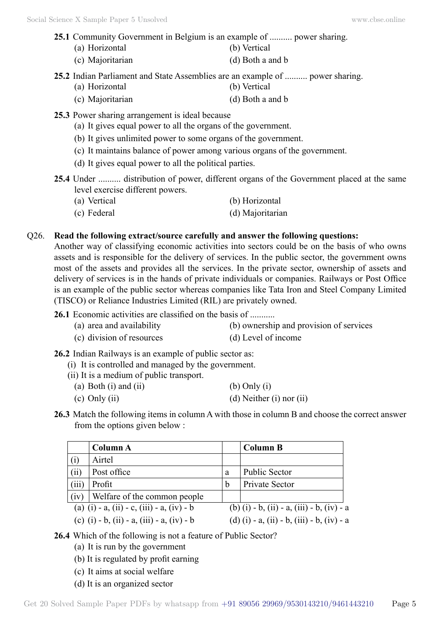## **25.1** Community Government in Belgium is an example of .......... power sharing.

- (a) Horizontal (b) Vertical (c) Majoritarian (d) Both a and b
- **25.2** Indian Parliament and State Assemblies are an example of .......... power sharing.
	- (a) Horizontal (b) Vertical
	- (c) Majoritarian (d) Both a and b
- **25.3** Power sharing arrangement is ideal because
	- (a) It gives equal power to all the organs of the government.
	- (b) It gives unlimited power to some organs of the government.
	- (c) It maintains balance of power among various organs of the government.
	- (d) It gives equal power to all the political parties.
- **25.4** Under .......... distribution of power, different organs of the Government placed at the same level exercise different powers.
	- (a) Vertical (b) Horizontal
	- (c) Federal (d) Majoritarian

# Q26. **Read the following extract/source carefully and answer the following questions:**

Another way of classifying economic activities into sectors could be on the basis of who owns assets and is responsible for the delivery of services. In the public sector, the government owns most of the assets and provides all the services. In the private sector, ownership of assets and delivery of services is in the hands of private individuals or companies. Railways or Post Office is an example of the public sector whereas companies like Tata Iron and Steel Company Limited (TISCO) or Reliance Industries Limited (RIL) are privately owned.

**26.1** Economic activities are classified on the basis of ...........

- (a) area and availability (b) ownership and provision of services
- (c) division of resources (d) Level of income

**26.2** Indian Railways is an example of public sector as:

- (i) It is controlled and managed by the government.
- (ii) It is a medium of public transport.
	- (a) Both (i) and (ii)  $\qquad \qquad$  (b) Only (i) (c) Only (ii)  $(d)$  Neither (i) nor (ii)
- **26.3** Match the following items in column A with those in column B and choose the correct answer from the options given below :

|                                                       | Column A                                   |   | <b>Column B</b>                            |
|-------------------------------------------------------|--------------------------------------------|---|--------------------------------------------|
| (i)                                                   | Airtel                                     |   |                                            |
| (ii)                                                  | Post office                                | a | <b>Public Sector</b>                       |
| (iii)                                                 | Profit                                     | b | Private Sector                             |
| (iv)                                                  | Welfare of the common people               |   |                                            |
| (a) $(i) - a$ , $(ii) - c$ , $(iii) - a$ , $(iv) - b$ |                                            |   | (b) (i) - b, (ii) - a, (iii) - b, (iv) - a |
|                                                       | (c) (i) - b, (ii) - a, (iii) - a, (iv) - b |   | (d) (i) - a, (ii) - b, (iii) - b, (iv) - a |

# **26.4** Which of the following is not a feature of Public Sector?

- (a) It is run by the government
- (b) It is regulated by profit earning
- (c) It aims at social welfare
- (d) It is an organized sector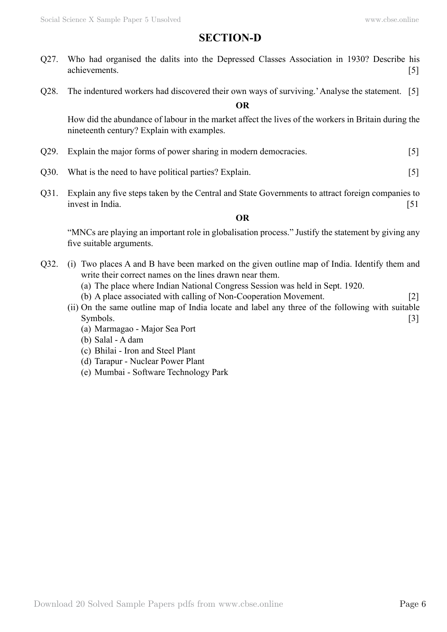# **Section-D**

- Q27. Who had organised the dalits into the Depressed Classes Association in 1930? Describe his achievements. [5]
- Q28. The indentured workers had discovered their own ways of surviving.' Analyse the statement. [5]

 **O**

How did the abundance of labour in the market affect the lives of the workers in Britain during the nineteenth century? Explain with examples.

- Q29. Explain the major forms of power sharing in modern democracies. [5]
- Q30. What is the need to have political parties? Explain. [5]
- Q31. Explain any five steps taken by the Central and State Governments to attract foreign companies to invest in India. [51]

## **O**

"MNCs are playing an important role in globalisation process." Justify the statement by giving any five suitable arguments.

- Q32. (i) Two places A and B have been marked on the given outline map of India. Identify them and write their correct names on the lines drawn near them.
	- (a) The place where Indian National Congress Session was held in Sept. 1920.
	- (b) A place associated with calling of Non-Cooperation Movement. [2]
	- (ii) On the same outline map of India locate and label any three of the following with suitable Symbols. [3]
		- (a) Marmagao Major Sea Port
		- (b) Salal A dam
		- (c) Bhilai Iron and Steel Plant
		- (d) Tarapur Nuclear Power Plant
		- (e) Mumbai Software Technology Park